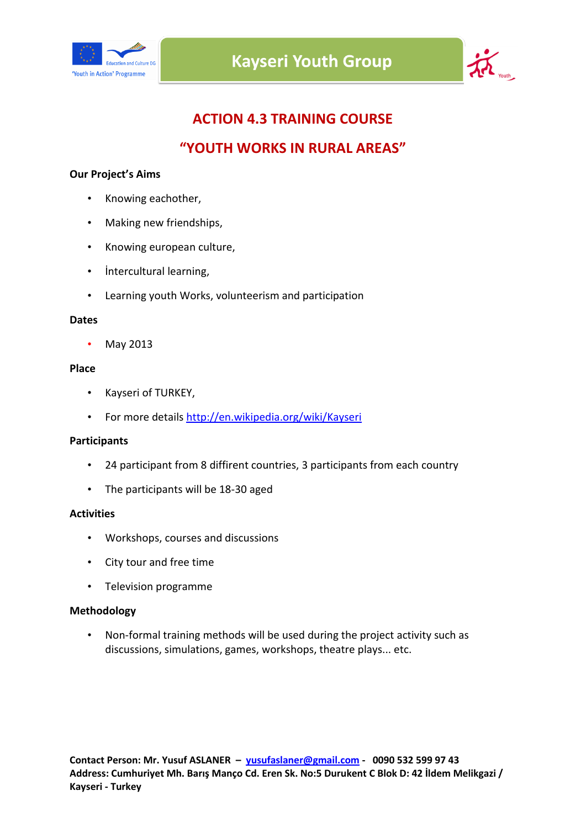



# **ACTION 4.3 TRAINING COURSE**

## **"YOUTH WORKS IN RURAL AREAS"**

### **Our Project's Aims**

- Knowing eachother,
- Making new friendships,
- Knowing european culture,
- İntercultural learning,
- Learning youth Works, volunteerism and participation

#### **Dates**

• May 2013

#### **Place**

- Kayseri of TURKEY,
- For more details [http://en.wikipedia.](http://en.wikipedia.org/wiki/Kayseri)org[/wiki/Kayseri](http://en.wikipedia.org/wiki/Kayseri)

### **Participants**

- 24 participant from 8 diffirent countries, 3 participants from each country
- The participants will be 18-30 aged

### **Activities**

- Workshops, courses and discussions
- City tour and free time
- Television programme

### **Methodology**

• Non-formal training methods will be used during the project activity such as discussions, simulations, games, workshops, theatre plays... etc.